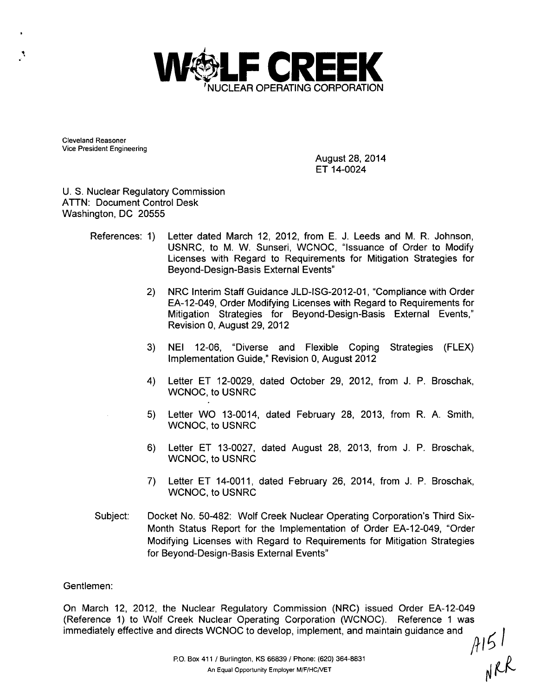

Cleveland Reasoner Vice President Engineering

۹

August 28, 2014 ET 14-0024

U. S. Nuclear Regulatory Commission ATTN: Document Control Desk Washington, DC 20555

- References: 1) Letter dated March 12, 2012, from E. J. Leeds and M. R. Johnson, USNRC, to M. W. Sunseri, WCNOC, "Issuance of Order to Modify Licenses with Regard to Requirements for Mitigation Strategies for Beyond-Design-Basis External Events"
	- 2) NRC Interim Staff Guidance JLD-ISG-2012-01, "Compliance with Order EA-12-049, Order Modifying Licenses with Regard to Requirements for Mitigation Strategies for Beyond-Design-Basis External Events," Revision 0, August 29, 2012
	- 3) NEI 12-06, "Diverse and Flexible Coping Strategies (FLEX) Implementation Guide," Revision 0, August 2012
	- 4) Letter ET 12-0029, dated October 29, 2012, from J. P. Broschak, WCNOC, to USNRC
	- 5) Letter WO 13-0014, dated February 28, 2013, from R. A. Smith, WCNOC, to USNRC
	- 6) Letter ET 13-0027, dated August 28, 2013, from J. P. Broschak, WCNOC, to USNRC
	- 7) Letter ET 14-0011, dated February 26, 2014, from J. P. Broschak, WCNOC, to USNRC
- Subject: Docket No. 50-482: Wolf Creek Nuclear Operating Corporation's Third Six-Month Status Report for the Implementation of Order EA-12-049, "Order Modifying Licenses with Regard to Requirements for Mitigation Strategies for Beyond-Design-Basis External Events"

#### Gentlemen:

On March 12, 2012, the Nuclear Regulatory Commission (NRC) issued Order EA-12-049 (Reference 1) to Wolf Creek Nuclear Operating Corporation (WCNOC). Reference 1 was immediately effective and directs WCNOC to develop, implement, and maintain guidance and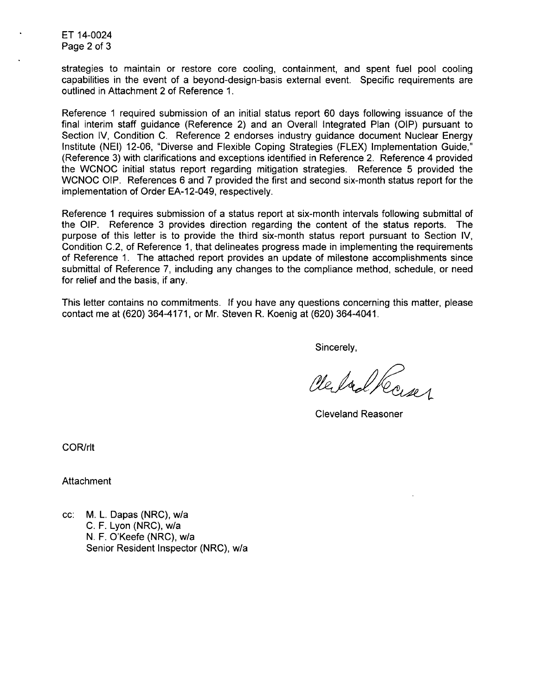ET 14-0024 Page 2 of 3

strategies to maintain or restore core cooling, containment, and spent fuel pool cooling capabilities in the event of a beyond-design-basis external event. Specific requirements are outlined in Attachment 2 of Reference 1.

Reference 1 required submission of an initial status report 60 days following issuance of the final interim staff guidance (Reference 2) and an Overall Integrated Plan (OIP) pursuant to Section IV, Condition C. Reference 2 endorses industry guidance document Nuclear Energy Institute (NEI) 12-06, "Diverse and Flexible Coping Strategies (FLEX) Implementation Guide," (Reference 3) with clarifications and exceptions identified in Reference 2. Reference 4 provided the WCNOC initial status report regarding mitigation strategies. Reference 5 provided the WCNOC OIP. References 6 and 7 provided the first and second six-month status report for the implementation of Order EA-12-049, respectively.

Reference 1 requires submission of a status report at six-month intervals following submittal of the OIP. Reference 3 provides direction regarding the content of the status reports. The purpose of this letter is to provide the third six-month status report pursuant to Section IV, Condition C.2, of Reference 1, that delineates progress made in implementing the requirements of Reference 1. The attached report provides an update of milestone accomplishments since submittal of Reference 7, including any changes to the compliance method, schedule, or need for relief and the basis, if any.

This letter contains no commitments. If you have any questions concerning this matter, please contact me at (620) 364-4171, or Mr. Steven R. Koenig at (620) 364-4041.

Sincerely,

Cleval Roses

Cleveland Reasoner

COR/rlt

Attachment

cc: M. L. Dapas (NRC), w/a C. F. Lyon (NRC), w/a N. F. O'Keefe (NRC), w/a Senior Resident Inspector (NRC), w/a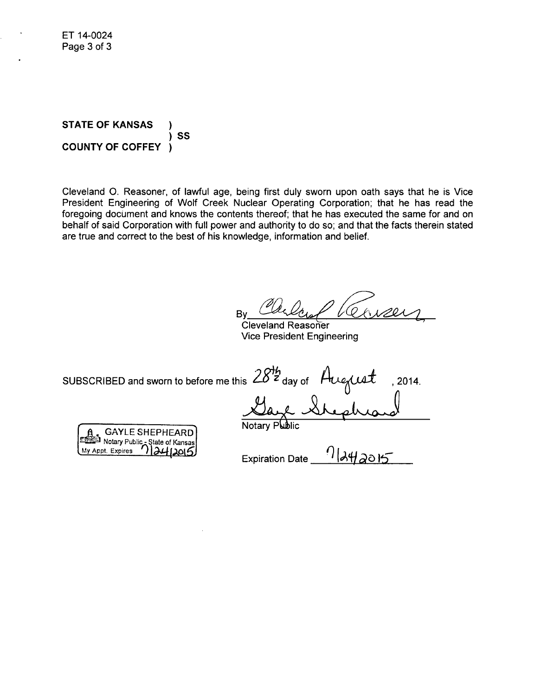**STATE** OF **KANSAS SS COUNTY** OF COFFEY -1

Cleveland **0.** Reasoner, of lawful age, being first duly sworn upon oath says that he is Vice President Engineering of Wolf Creek Nuclear Operating Corporation; that he has read the foregoing document and knows the contents thereof; that he has executed the same for and on behalf of said Corporation with full power and authority to do so; and that the facts therein stated are true and correct to the best of his knowledge, information and belief.

By Carlois 14

Cleveland Reasoner Vice President Engineering

SUBSCRIBED and sworn to before me this 28<sup>th</sup> day of Augus is L\_.u, Iday of **t\_1** - ,2014.

|                                                                   | .             |
|-------------------------------------------------------------------|---------------|
|                                                                   | Notary Public |
| <b>GAYLE SHEPHEARD</b>                                            |               |
|                                                                   |               |
| ERED Notary Public - State of Kansas<br>My Appt. Expires 12412015 |               |
|                                                                   |               |

Expiration Date  $\frac{1}{4}$  -134/2015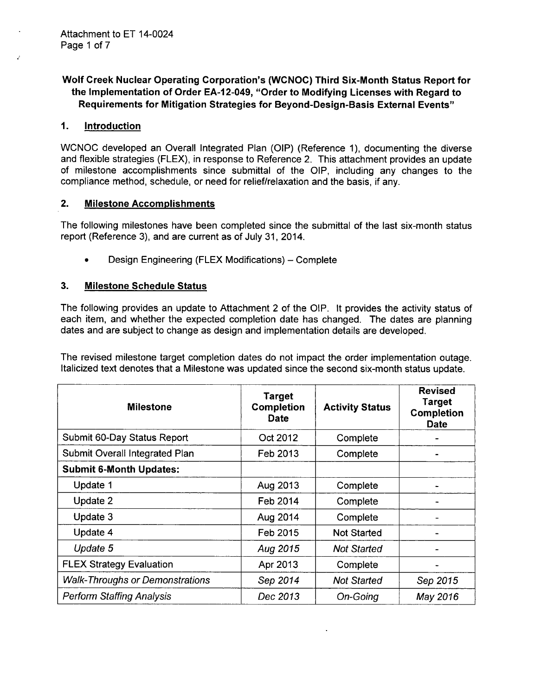### Wolf Creek Nuclear Operating Corporation's (WCNOC) Third Six-Month Status Report for the Implementation of Order EA-12-049, "Order to Modifying Licenses with Regard to Requirements for Mitigation Strategies for Beyond-Design-Basis External Events"

### *1.* Introduction

WCNOC developed an Overall Integrated Plan (OIP) (Reference 1), documenting the diverse and flexible strategies (FLEX), in response to Reference 2. This attachment provides an update of milestone accomplishments since submittal of the OIP, including any changes to the compliance method, schedule, or need for relief/relaxation and the basis, if any.

#### 2. Milestone Accomplishments

The following milestones have been completed since the submittal of the last six-month status report (Reference 3), and are current as of July 31, 2014.

Design Engineering (FLEX Modifications) - Complete

### 3. Milestone Schedule Status

The following provides an update to Attachment 2 of the OIP. It provides the activity status of each item, and whether the expected completion date has changed. The dates are planning dates and are subject to change as design and implementation details are developed.

The revised milestone target completion dates do not impact the order implementation outage. Italicized text denotes that a Milestone was updated since the second six-month status update.

| <b>Milestone</b>                       | <b>Target</b><br><b>Completion</b><br><b>Date</b> | <b>Activity Status</b> | <b>Revised</b><br><b>Target</b><br><b>Completion</b><br><b>Date</b> |
|----------------------------------------|---------------------------------------------------|------------------------|---------------------------------------------------------------------|
| Submit 60-Day Status Report            | Oct 2012                                          | Complete               |                                                                     |
| Submit Overall Integrated Plan         | Feb 2013                                          | Complete               |                                                                     |
| <b>Submit 6-Month Updates:</b>         |                                                   |                        |                                                                     |
| Update 1                               | Aug 2013                                          | Complete               |                                                                     |
| Update 2                               | Feb 2014                                          | Complete               |                                                                     |
| Update 3                               | Aug 2014                                          | Complete               |                                                                     |
| Update 4                               | Feb 2015                                          | <b>Not Started</b>     |                                                                     |
| Update 5                               | Aug 2015                                          | <b>Not Started</b>     |                                                                     |
| <b>FLEX Strategy Evaluation</b>        | Apr 2013                                          | Complete               |                                                                     |
| <b>Walk-Throughs or Demonstrations</b> | Sep 2014                                          | <b>Not Started</b>     | Sep 2015                                                            |
| <b>Perform Staffing Analysis</b>       | Dec 2013                                          | On-Going               | May 2016                                                            |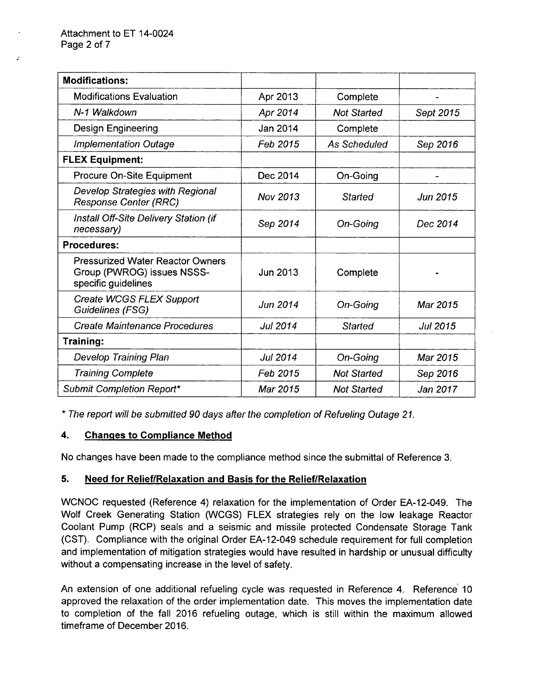| <b>Modifications:</b>                                                                        |                 |                    |                 |
|----------------------------------------------------------------------------------------------|-----------------|--------------------|-----------------|
| <b>Modifications Evaluation</b>                                                              | Apr 2013        | Complete           |                 |
| N-1 Walkdown                                                                                 | Apr 2014        | <b>Not Started</b> | Sept 2015       |
| <b>Design Engineering</b>                                                                    | Jan 2014        | Complete           |                 |
| <b>Implementation Outage</b>                                                                 | Feb 2015        | As Scheduled       | Sep 2016        |
| <b>FLEX Equipment:</b>                                                                       |                 |                    |                 |
| Procure On-Site Equipment                                                                    | Dec 2014        | On-Going           |                 |
| Develop Strategies with Regional<br><b>Response Center (RRC)</b>                             | Nov 2013        | Started            | <b>Jun 2015</b> |
| Install Off-Site Delivery Station (if<br>necessary)                                          | Sep 2014        | On-Going           | Dec 2014        |
| <b>Procedures:</b>                                                                           |                 |                    |                 |
| <b>Pressurized Water Reactor Owners</b><br>Group (PWROG) issues NSSS-<br>specific guidelines | Jun 2013        | Complete           |                 |
| Create WCGS FLEX Support<br>Guidelines (FSG)                                                 | Jun 2014        | On-Going           | Mar 2015        |
| <b>Create Maintenance Procedures</b>                                                         | <b>Jul 2014</b> | <b>Started</b>     | Jul 2015        |
| Training:                                                                                    |                 |                    |                 |
| <b>Develop Training Plan</b>                                                                 | Jul 2014        | On-Going           | Mar 2015        |
| <b>Training Complete</b>                                                                     | Feb 2015        | <b>Not Started</b> | Sep 2016        |
| Submit Completion Report*                                                                    | Mar 2015        | <b>Not Started</b> | Jan 2017        |

\* *The report will be submitted 90 days after the completion of Refueling Outage 21.*

## 4. Changes to Compliance Method

No changes have been made to the compliance method since the submittal of Reference 3.

## 5. Need for RelieflRelaxation and Basis for the Relief/Relaxation

**WCNOC** requested (Reference 4) relaxation for the implementation of Order EA-12-049. The Wolf Creek Generating Station (WCGS) FLEX strategies rely on the low leakage Reactor Coolant Pump (RCP) seals and a seismic and missile protected Condensate Storage Tank (CST). Compliance with the original Order EA-12-049 schedule requirement for full completion and implementation of mitigation strategies would have resulted in hardship or unusual difficulty without a compensating increase in the level of safety.

An extension of one additional refueling cycle was requested in Reference 4. Reference 10 approved the relaxation of the order implementation date. This moves the implementation date to completion of the fall 2016 refueling outage, which is still within the maximum allowed timeframe of December 2016.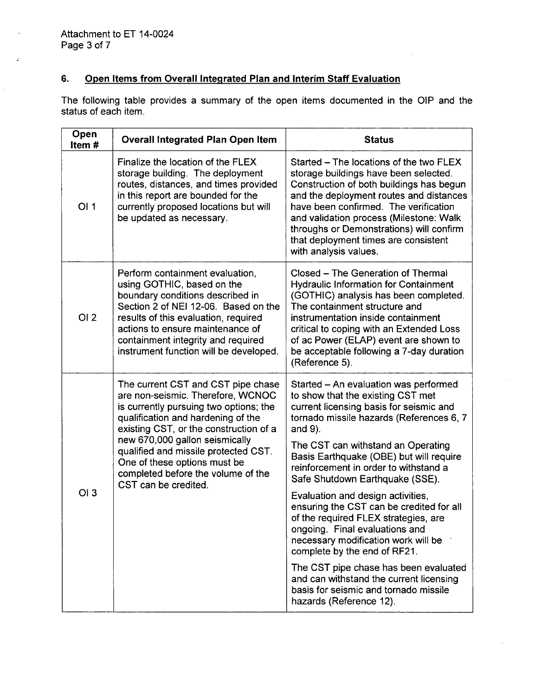$\mathcal{Q}$ 

 $\hat{\mathcal{L}}$ 

# 6. Open Items from Overall Integrated Plan and Interim Staff Evaluation

The following table provides a summary of the open items documented in the OIP and the status of each item.

| Open<br>Item#   | <b>Overall Integrated Plan Open Item</b>                                                                                                                                                                                                                                                                                                                                  | <b>Status</b>                                                                                                                                                                                                                                                                                                                                                            |
|-----------------|---------------------------------------------------------------------------------------------------------------------------------------------------------------------------------------------------------------------------------------------------------------------------------------------------------------------------------------------------------------------------|--------------------------------------------------------------------------------------------------------------------------------------------------------------------------------------------------------------------------------------------------------------------------------------------------------------------------------------------------------------------------|
| OI 1            | Finalize the location of the FLEX<br>storage building. The deployment<br>routes, distances, and times provided<br>in this report are bounded for the<br>currently proposed locations but will<br>be updated as necessary.                                                                                                                                                 | Started - The locations of the two FLEX<br>storage buildings have been selected.<br>Construction of both buildings has begun<br>and the deployment routes and distances<br>have been confirmed. The verification<br>and validation process (Milestone: Walk<br>throughs or Demonstrations) will confirm<br>that deployment times are consistent<br>with analysis values. |
| OI2             | Perform containment evaluation,<br>using GOTHIC, based on the<br>boundary conditions described in<br>Section 2 of NEI 12-06. Based on the<br>results of this evaluation, required<br>actions to ensure maintenance of<br>containment integrity and required<br>instrument function will be developed.                                                                     | Closed - The Generation of Thermal<br><b>Hydraulic Information for Containment</b><br>(GOTHIC) analysis has been completed.<br>The containment structure and<br>instrumentation inside containment<br>critical to coping with an Extended Loss<br>of ac Power (ELAP) event are shown to<br>be acceptable following a 7-day duration<br>(Reference 5).                    |
|                 | The current CST and CST pipe chase<br>are non-seismic. Therefore, WCNOC<br>is currently pursuing two options; the<br>qualification and hardening of the<br>existing CST, or the construction of a<br>new 670,000 gallon seismically<br>qualified and missile protected CST.<br>One of these options must be<br>completed before the volume of the<br>CST can be credited. | Started - An evaluation was performed<br>to show that the existing CST met<br>current licensing basis for seismic and<br>tornado missile hazards (References 6, 7<br>and 9).<br>The CST can withstand an Operating<br>Basis Earthquake (OBE) but will require<br>reinforcement in order to withstand a<br>Safe Shutdown Earthquake (SSE).                                |
| O <sub>13</sub> |                                                                                                                                                                                                                                                                                                                                                                           | Evaluation and design activities,<br>ensuring the CST can be credited for all<br>of the required FLEX strategies, are<br>ongoing. Final evaluations and<br>necessary modification work will be<br>complete by the end of RF21.                                                                                                                                           |
|                 |                                                                                                                                                                                                                                                                                                                                                                           | The CST pipe chase has been evaluated<br>and can withstand the current licensing<br>basis for seismic and tornado missile<br>hazards (Reference 12).                                                                                                                                                                                                                     |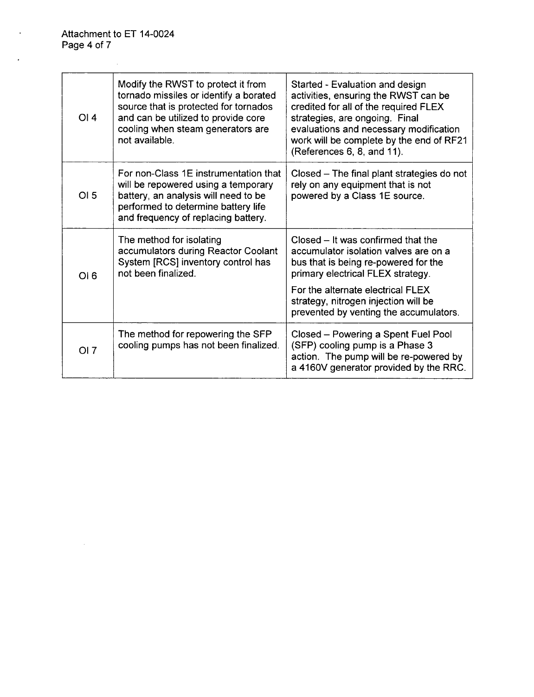$\mathcal{L}^{\text{max}}_{\text{max}}$  , where  $\mathcal{L}^{\text{max}}_{\text{max}}$ 

 $\label{eq:2.1} \frac{1}{\sqrt{2}}\int_{\mathbb{R}^3}\frac{1}{\sqrt{2}}\left(\frac{1}{\sqrt{2}}\right)^2\frac{1}{\sqrt{2}}\left(\frac{1}{\sqrt{2}}\right)^2\frac{1}{\sqrt{2}}\left(\frac{1}{\sqrt{2}}\right)^2\frac{1}{\sqrt{2}}\left(\frac{1}{\sqrt{2}}\right)^2.$ 

 $\ddot{\phantom{a}}$ 

Ÿ,

| OI4  | Modify the RWST to protect it from<br>tornado missiles or identify a borated<br>source that is protected for tornados<br>and can be utilized to provide core<br>cooling when steam generators are<br>not available. | Started - Evaluation and design<br>activities, ensuring the RWST can be<br>credited for all of the required FLEX<br>strategies, are ongoing. Final<br>evaluations and necessary modification<br>work will be complete by the end of RF21<br>(References 6, 8, and 11).          |
|------|---------------------------------------------------------------------------------------------------------------------------------------------------------------------------------------------------------------------|---------------------------------------------------------------------------------------------------------------------------------------------------------------------------------------------------------------------------------------------------------------------------------|
| OI 5 | For non-Class 1E instrumentation that<br>will be repowered using a temporary<br>battery, an analysis will need to be<br>performed to determine battery life<br>and frequency of replacing battery.                  | Closed – The final plant strategies do not<br>rely on any equipment that is not<br>powered by a Class 1E source.                                                                                                                                                                |
| OI6  | The method for isolating<br>accumulators during Reactor Coolant<br>System [RCS] inventory control has<br>not been finalized.                                                                                        | Closed – It was confirmed that the<br>accumulator isolation valves are on a<br>bus that is being re-powered for the<br>primary electrical FLEX strategy.<br>For the alternate electrical FLEX<br>strategy, nitrogen injection will be<br>prevented by venting the accumulators. |
| OI 7 | The method for repowering the SFP<br>cooling pumps has not been finalized.                                                                                                                                          | Closed - Powering a Spent Fuel Pool<br>(SFP) cooling pump is a Phase 3<br>action. The pump will be re-powered by<br>a 4160V generator provided by the RRC.                                                                                                                      |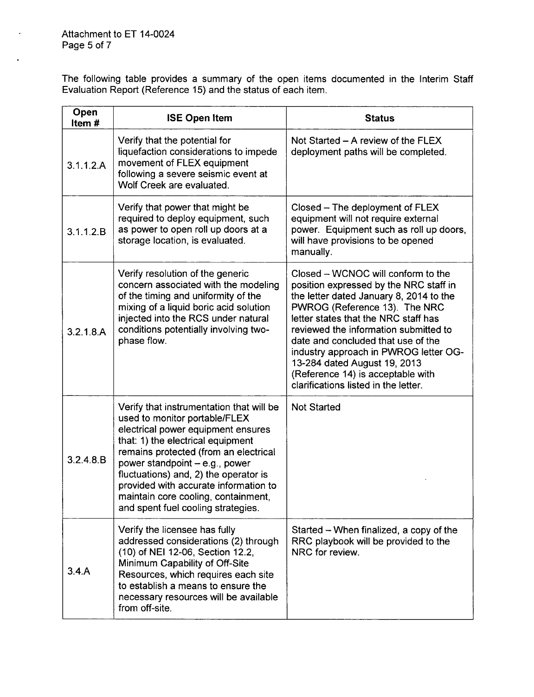Attachment to ET 14-0024 Page 5 of **7**

 $\bullet$ 

 $\overline{a}$ 

The following table provides a summary of the open items documented in the Interim Staff Evaluation Report (Reference 15) and the status of each item.

| Open<br>Item# | <b>ISE Open Item</b>                                                                                                                                                                                                                                                                                                                                                                           | <b>Status</b>                                                                                                                                                                                                                                                                                                                                                                                                                         |
|---------------|------------------------------------------------------------------------------------------------------------------------------------------------------------------------------------------------------------------------------------------------------------------------------------------------------------------------------------------------------------------------------------------------|---------------------------------------------------------------------------------------------------------------------------------------------------------------------------------------------------------------------------------------------------------------------------------------------------------------------------------------------------------------------------------------------------------------------------------------|
| 3.1.1.2.A     | Verify that the potential for<br>liquefaction considerations to impede<br>movement of FLEX equipment<br>following a severe seismic event at<br>Wolf Creek are evaluated.                                                                                                                                                                                                                       | Not Started – A review of the FLEX<br>deployment paths will be completed.                                                                                                                                                                                                                                                                                                                                                             |
| 3.1.1.2.B     | Verify that power that might be<br>required to deploy equipment, such<br>as power to open roll up doors at a<br>storage location, is evaluated.                                                                                                                                                                                                                                                | Closed – The deployment of FLEX<br>equipment will not require external<br>power. Equipment such as roll up doors,<br>will have provisions to be opened<br>manually.                                                                                                                                                                                                                                                                   |
| 3.2.1.8.A     | Verify resolution of the generic<br>concern associated with the modeling<br>of the timing and uniformity of the<br>mixing of a liquid boric acid solution<br>injected into the RCS under natural<br>conditions potentially involving two-<br>phase flow.                                                                                                                                       | Closed – WCNOC will conform to the<br>position expressed by the NRC staff in<br>the letter dated January 8, 2014 to the<br>PWROG (Reference 13). The NRC<br>letter states that the NRC staff has<br>reviewed the information submitted to<br>date and concluded that use of the<br>industry approach in PWROG letter OG-<br>13-284 dated August 19, 2013<br>(Reference 14) is acceptable with<br>clarifications listed in the letter. |
| 3.2.4.8.B     | Verify that instrumentation that will be<br>used to monitor portable/FLEX<br>electrical power equipment ensures<br>that: 1) the electrical equipment<br>remains protected (from an electrical<br>power standpoint - e.g., power<br>fluctuations) and, 2) the operator is<br>provided with accurate information to<br>maintain core cooling, containment,<br>and spent fuel cooling strategies. | <b>Not Started</b>                                                                                                                                                                                                                                                                                                                                                                                                                    |
| 3.4.A         | Verify the licensee has fully<br>addressed considerations (2) through<br>(10) of NEI 12-06, Section 12.2,<br>Minimum Capability of Off-Site<br>Resources, which requires each site<br>to establish a means to ensure the<br>necessary resources will be available<br>from off-site.                                                                                                            | Started – When finalized, a copy of the<br>RRC playbook will be provided to the<br>NRC for review.                                                                                                                                                                                                                                                                                                                                    |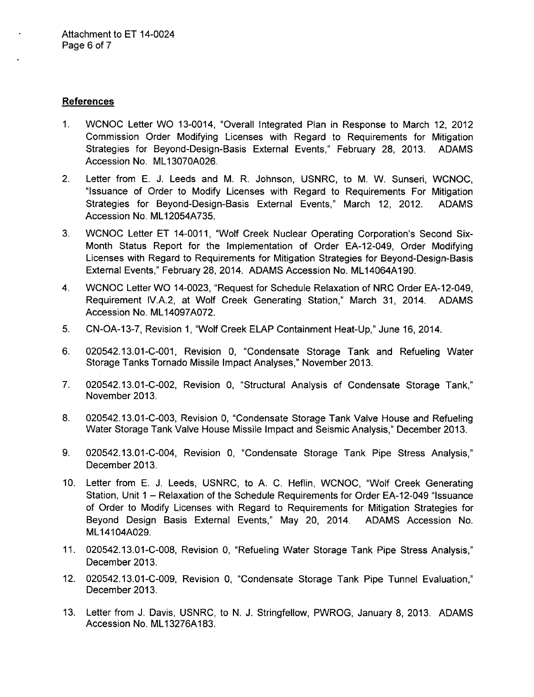### References

- 1. WCNOC Letter WO 13-0014, "Overall Integrated Plan in Response to March 12, 2012 Commission Order Modifying Licenses with Regard to Requirements for Mitigation Strategies for Beyond-Design-Basis External Events," February 28, 2013. ADAMS Accession No. ML13070A026.
- 2. Letter from E. J. Leeds and M. R. Johnson, USNRC, to M. W. Sunseri, WCNOC, "Issuance of Order to Modify Licenses with Regard to Requirements For Mitigation Strategies for Beyond-Design-Basis External Events," March 12, 2012. ADAMS Accession No. ML12054A735.
- 3. WCNOC Letter ET 14-0011, "Wolf Creek Nuclear Operating Corporation's Second Six-Month Status Report for the Implementation of Order EA-12-049, Order Modifying Licenses with Regard to Requirements for Mitigation Strategies for Beyond-Design-Basis External Events," February 28, 2014. ADAMS Accession No. ML14064A1 90.
- 4. WCNOC Letter WO 14-0023, "Request for Schedule Relaxation of NRC Order EA-12-049, Requirement IV.A.2, at Wolf Creek Generating Station," March 31, 2014. ADAMS Accession No. ML14097A072.
- 5. CN-OA-13-7, Revision 1, "Wolf Creek ELAP Containment Heat-Up," June 16, 2014.
- 6. 020542.13.01-C-001, Revision 0, "Condensate Storage Tank and Refueling Water Storage Tanks Tornado Missile Impact Analyses," November 2013.
- 7. 020542.13.01-C-002, Revision 0, "Structural Analysis of Condensate Storage Tank," November 2013.
- 8. 020542.13.01-C-003, Revision 0, "Condensate Storage Tank Valve House and Refueling Water Storage Tank Valve House Missile Impact and Seismic Analysis," December 2013.
- 9. 020542.13.01-C-004, Revision 0, "Condensate Storage Tank Pipe Stress Analysis," December 2013.
- 10. Letter from E. J. Leeds, USNRC, to A. C. Heflin, WCNOC, "Wolf Creek Generating Station, Unit 1 - Relaxation of the Schedule Requirements for Order EA-12-049 "Issuance of Order to Modify Licenses with Regard to Requirements for Mitigation Strategies for Beyond Design Basis External Events," May 20, 2014. ADAMS Accession No. ML14104A029.
- 11. 020542.13.01-C-008, Revision 0, "Refueling Water Storage Tank Pipe Stress Analysis," December 2013.
- 12. 020542.13.01-C-009, Revision 0, "Condensate Storage Tank Pipe Tunnel Evaluation," December 2013.
- 13. Letter from J. Davis, USNRC, to N. J. Stringfellow, PWROG, January 8, 2013. ADAMS Accession No. ML13276A183.